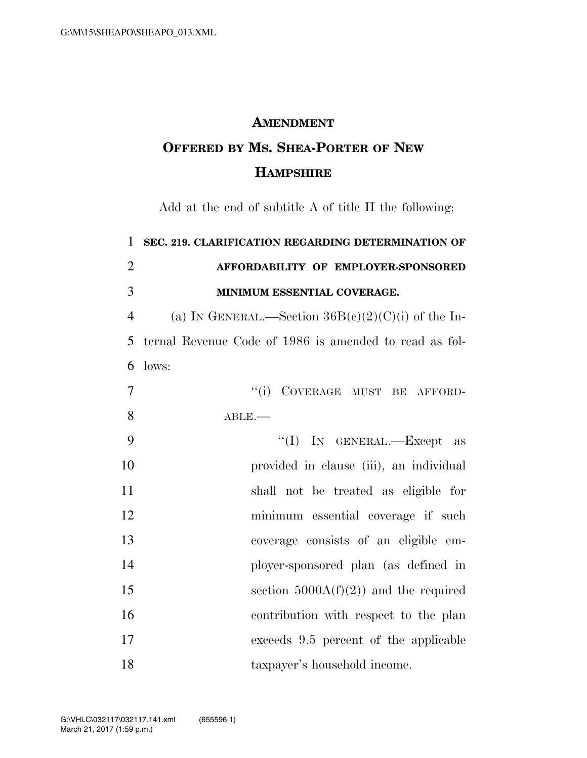## **AMENDMENT**

## **OFFERED BY MS. SHEA-PORTER OF NEW HAMPSHIRE**

Add at the end of subtitle A of title II the following:

| $\mathbf{1}$   | SEC. 219. CLARIFICATION REGARDING DETERMINATION OF     |
|----------------|--------------------------------------------------------|
| $\overline{2}$ | AFFORDABILITY OF EMPLOYER-SPONSORED                    |
| 3              | MINIMUM ESSENTIAL COVERAGE.                            |
| $\overline{4}$ | (a) IN GENERAL.—Section $36B(c)(2)(C)(i)$ of the In-   |
| 5              | ternal Revenue Code of 1986 is amended to read as fol- |
| 6              | lows:                                                  |
| $\overline{7}$ | "(i) COVERAGE MUST BE AFFORD-                          |
| 8              | $ABLE$ .                                               |
| 9              | "(I) IN GENERAL.—Except as                             |
| 10             | provided in clause (iii), an individual                |
| 11             | shall not be treated as eligible for                   |
| 12             | minimum essential coverage if such                     |
| 13             | coverage consists of an eligible em-                   |
| 14             | ployer-sponsored plan (as defined in                   |
| 15             | section $5000A(f)(2)$ and the required                 |
| 16             | contribution with respect to the plan                  |
| 17             | exceeds 9.5 percent of the applicable                  |
| 18             | taxpayer's household income.                           |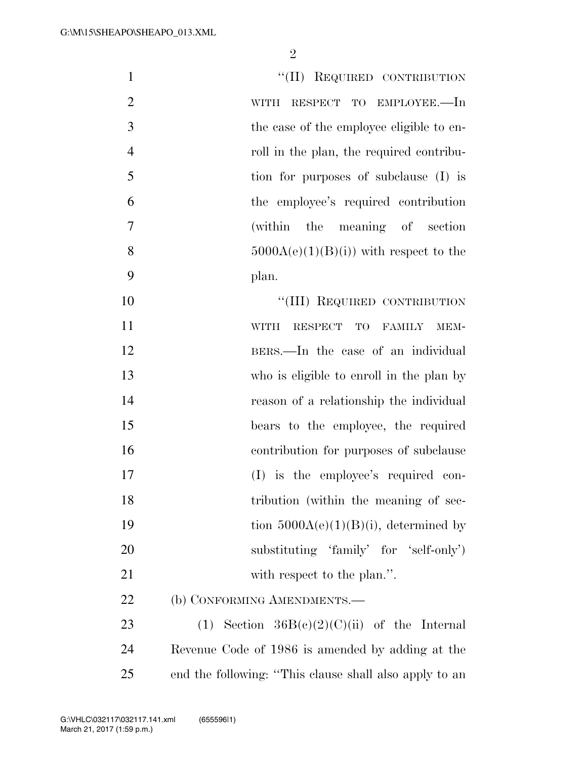| $\mathbf{1}$   | "(II) REQUIRED CONTRIBUTION                                  |
|----------------|--------------------------------------------------------------|
| $\mathbf{2}$   | RESPECT TO EMPLOYEE.—In<br><b>WITH</b>                       |
| 3              | the case of the employee eligible to en-                     |
| $\overline{4}$ | roll in the plan, the required contribu-                     |
| 5              | tion for purposes of subclause (I) is                        |
| 6              | the employee's required contribution                         |
| $\overline{7}$ | (within the meaning of section                               |
| 8              | $5000A(e)(1)(B)(i)$ with respect to the                      |
| 9              | plan.                                                        |
| 10             | "(III) REQUIRED CONTRIBUTION                                 |
| 11             | <b>WITH</b><br><b>RESPECT</b><br>TO<br><b>FAMILY</b><br>MEM- |
| 12             | BERS.—In the case of an individual                           |
| 13             | who is eligible to enroll in the plan by                     |
| 14             | reason of a relationship the individual                      |
| 15             | bears to the employee, the required                          |
| 16             | contribution for purposes of subclause                       |
| 17             | (I) is the employee's required con-                          |
| 18             | tribution (within the meaning of sec-                        |
| 19             | tion $5000A(e)(1)(B)(i)$ , determined by                     |
| 20             | substituting 'family' for 'self-only')                       |
| 21             | with respect to the plan.".                                  |
| 22             | (b) CONFORMING AMENDMENTS.—                                  |
| 23             | (1) Section $36B(c)(2)(C)(ii)$ of the Internal               |
| 24             | Revenue Code of 1986 is amended by adding at the             |
| 25             | end the following: "This clause shall also apply to an       |